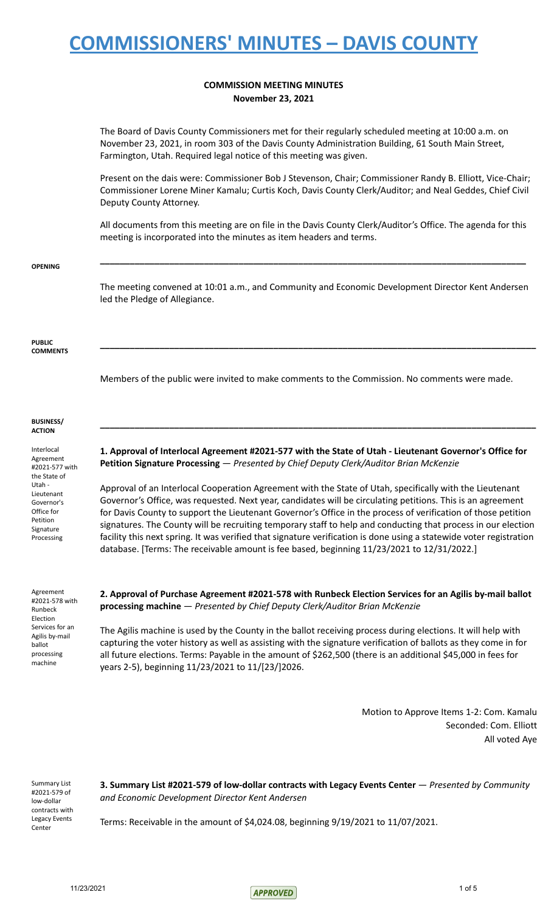### **COMMISSION MEETING MINUTES November 23, 2021**

The Board of Davis County Commissioners met for their regularly scheduled meeting at 10:00 a.m. on November 23, 2021, in room 303 of the Davis County Administration Building, 61 South Main Street, Farmington, Utah. Required legal notice of this meeting was given.

Present on the dais were: Commissioner Bob J Stevenson, Chair; Commissioner Randy B. Elliott, Vice-Chair; Commissioner Lorene Miner Kamalu; Curtis Koch, Davis County Clerk/Auditor; and Neal Geddes, Chief Civil Deputy County Attorney.

All documents from this meeting are on file in the Davis County Clerk/Auditor's Office. The agenda for this meeting is incorporated into the minutes as item headers and terms.

**\_\_\_\_\_\_\_\_\_\_\_\_\_\_\_\_\_\_\_\_\_\_\_\_\_\_\_\_\_\_\_\_\_\_\_\_\_\_\_\_\_\_\_\_\_\_\_\_\_\_\_\_\_\_\_\_\_\_\_\_\_\_\_\_\_\_\_\_\_\_\_\_\_\_\_\_\_\_\_\_\_\_\_\_\_\_**

#### **OPENING**

The meeting convened at 10:01 a.m., and Community and Economic Development Director Kent Andersen led the Pledge of Allegiance.

**\_\_\_\_\_\_\_\_\_\_\_\_\_\_\_\_\_\_\_\_\_\_\_\_\_\_\_\_\_\_\_\_\_\_\_\_\_\_\_\_\_\_\_\_\_\_\_\_\_\_\_\_\_\_\_\_\_\_\_\_\_\_\_\_\_\_\_\_\_\_\_\_\_\_\_\_\_\_\_\_\_\_\_\_\_\_\_\_**

#### **PUBLIC COMMENTS**

Members of the public were invited to make comments to the Commission. No comments were made.

#### **BUSINESS/ ACTION**

Interlocal Agreement #2021-577 with the State of Utah - Lieutenant Governor's Office for Petition Signature Processing

Agreement #2021-578 with Runbeck Election Services for an Agilis by-mail ballot processing machine

**1. Approval of Interlocal Agreement #2021-577 with the State of Utah - Lieutenant Governor's Office for Petition Signature Processing** — *Presented by Chief Deputy Clerk/Auditor Brian McKenzie*

**\_\_\_\_\_\_\_\_\_\_\_\_\_\_\_\_\_\_\_\_\_\_\_\_\_\_\_\_\_\_\_\_\_\_\_\_\_\_\_\_\_\_\_\_\_\_\_\_\_\_\_\_\_\_\_\_\_\_\_\_\_\_\_\_\_\_\_\_\_\_\_\_\_\_\_\_\_\_\_\_\_\_\_\_\_\_\_\_**

Approval of an Interlocal Cooperation Agreement with the State of Utah, specifically with the Lieutenant Governor's Office, was requested. Next year, candidates will be circulating petitions. This is an agreement for Davis County to support the Lieutenant Governor's Office in the process of verification of those petition signatures. The County will be recruiting temporary staff to help and conducting that process in our election facility this next spring. It was verified that signature verification is done using a statewide voter registration database. [Terms: The receivable amount is fee based, beginning 11/23/2021 to 12/31/2022.]

**2. Approval of Purchase Agreement #2021-578 with Runbeck Election Services for an Agilis by-mail ballot processing machine** — *Presented by Chief Deputy Clerk/Auditor Brian McKenzie*

The Agilis machine is used by the County in the ballot receiving process during elections. It will help with capturing the voter history as well as assisting with the signature verification of ballots as they come in for all future elections. Terms: Payable in the amount of \$262,500 (there is an additional \$45,000 in fees for years 2-5), beginning 11/23/2021 to 11/[23/]2026.

> Motion to Approve Items 1-2: Com. Kamalu Seconded: Com. Elliott All voted Aye

Summary List #2021-579 of low-dollar contracts with Legacy Events Center

**3. Summary List #2021-579 of low-dollar contracts with Legacy Events Center** — *Presented by Community and Economic Development Director Kent Andersen*

Terms: Receivable in the amount of \$4,024.08, beginning 9/19/2021 to 11/07/2021.

 $11/23/2021$  1 of 5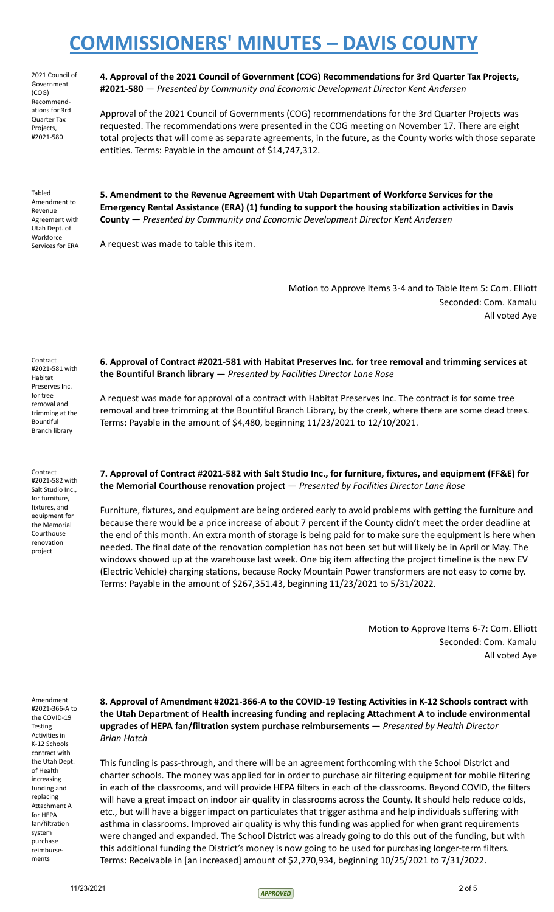2021 Council of Government (COG) Recommendations for 3rd Quarter Tax Projects, #2021-580

**4. Approval of the 2021 Council of Government (COG) Recommendations for 3rd Quarter Tax Projects, #2021-580** — *Presented by Community and Economic Development Director Kent Andersen*

Approval of the 2021 Council of Governments (COG) recommendations for the 3rd Quarter Projects was requested. The recommendations were presented in the COG meeting on November 17. There are eight total projects that will come as separate agreements, in the future, as the County works with those separate entities. Terms: Payable in the amount of \$14,747,312.

Tabled Amendment to Revenue Agreement with Utah Dept. of **Workforce** Services for ERA

Contract #2021-581 with Habitat Preserves Inc. for tree removal and trimming at the Bountiful Branch library

**5. Amendment to the Revenue Agreement with Utah Department of Workforce Services for the Emergency Rental Assistance (ERA) (1) funding to support the housing stabilization activities in Davis County** — *Presented by Community and Economic Development Director Kent Andersen*

A request was made to table this item.

Motion to Approve Items 3-4 and to Table Item 5: Com. Elliott Seconded: Com. Kamalu All voted Aye

**6. Approval of Contract #2021-581 with Habitat Preserves Inc. for tree removal and trimming services at the Bountiful Branch library** — *Presented by Facilities Director Lane Rose*

A request was made for approval of a contract with Habitat Preserves Inc. The contract is for some tree removal and tree trimming at the Bountiful Branch Library, by the creek, where there are some dead trees. Terms: Payable in the amount of \$4,480, beginning 11/23/2021 to 12/10/2021.

**7. Approval of Contract #2021-582 with Salt Studio Inc., for furniture, fixtures, and equipment (FF&E) for the Memorial Courthouse renovation project** — *Presented by Facilities Director Lane Rose*

Furniture, fixtures, and equipment are being ordered early to avoid problems with getting the furniture and because there would be a price increase of about 7 percent if the County didn't meet the order deadline at the end of this month. An extra month of storage is being paid for to make sure the equipment is here when needed. The final date of the renovation completion has not been set but will likely be in April or May. The windows showed up at the warehouse last week. One big item affecting the project timeline is the new EV (Electric Vehicle) charging stations, because Rocky Mountain Power transformers are not easy to come by. Terms: Payable in the amount of \$267,351.43, beginning 11/23/2021 to 5/31/2022.

> Motion to Approve Items 6-7: Com. Elliott Seconded: Com. Kamalu All voted Aye

Amendment #2021-366-A to the COVID-19 Testing Activities in K-12 Schools contract with the Utah Dept. of Health increasing funding and replacing Attachment A for HEPA fan/filtration system purchase reimbursements

**8. Approval of Amendment #2021-366-A to the COVID-19 Testing Activities in K-12 Schools contract with the Utah Department of Health increasing funding and replacing Attachment A to include environmental upgrades of HEPA fan/filtration system purchase reimbursements** — *Presented by Health Director Brian Hatch*

This funding is pass-through, and there will be an agreement forthcoming with the School District and charter schools. The money was applied for in order to purchase air filtering equipment for mobile filtering in each of the classrooms, and will provide HEPA filters in each of the classrooms. Beyond COVID, the filters will have a great impact on indoor air quality in classrooms across the County. It should help reduce colds, etc., but will have a bigger impact on particulates that trigger asthma and help individuals suffering with asthma in classrooms. Improved air quality is why this funding was applied for when grant requirements were changed and expanded. The School District was already going to do this out of the funding, but with this additional funding the District's money is now going to be used for purchasing longer-term filters. Terms: Receivable in [an increased] amount of \$2,270,934, beginning 10/25/2021 to 7/31/2022.

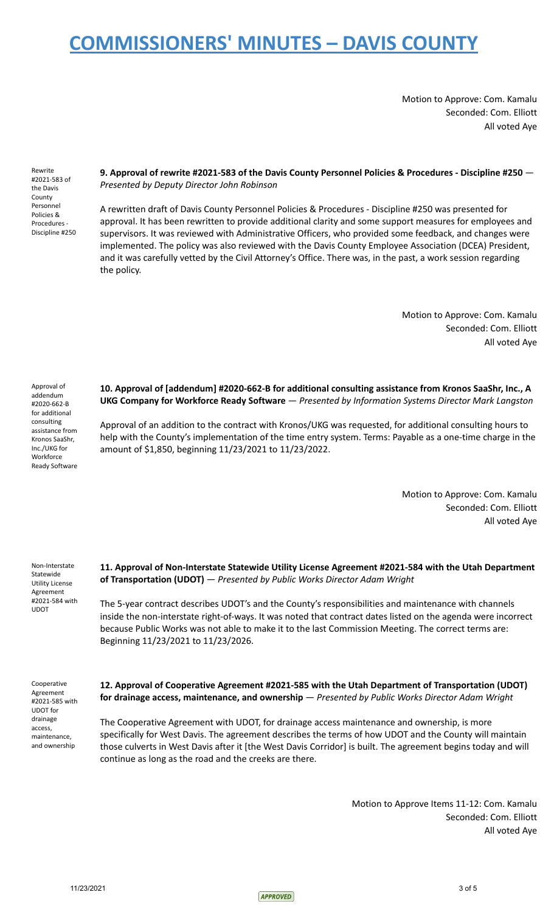Motion to Approve: Com. Kamalu Seconded: Com. Elliott All voted Aye

Rewrite #2021-583 of the Davis County Personnel Policies & Procedures - Discipline #250

**9. Approval of rewrite #2021-583 of the Davis County Personnel Policies & Procedures - Discipline #250** — *Presented by Deputy Director John Robinson*

A rewritten draft of Davis County Personnel Policies & Procedures - Discipline #250 was presented for approval. It has been rewritten to provide additional clarity and some support measures for employees and supervisors. It was reviewed with Administrative Officers, who provided some feedback, and changes were implemented. The policy was also reviewed with the Davis County Employee Association (DCEA) President, and it was carefully vetted by the Civil Attorney's Office. There was, in the past, a work session regarding the policy.

> Motion to Approve: Com. Kamalu Seconded: Com. Elliott All voted Aye

Approval of addendum #2020-662-B for additional consulting assistance from Kronos SaaShr, Inc./UKG for **Workforce** Ready Software **10. Approval of [addendum] #2020-662-B for additional consulting assistance from Kronos SaaShr, Inc., A UKG Company for Workforce Ready Software** — *Presented by Information Systems Director Mark Langston*

Approval of an addition to the contract with Kronos/UKG was requested, for additional consulting hours to help with the County's implementation of the time entry system. Terms: Payable as a one-time charge in the amount of \$1,850, beginning 11/23/2021 to 11/23/2022.

> Motion to Approve: Com. Kamalu Seconded: Com. Elliott All voted Aye

Non-Interstate Statewide Utility License Agreement #2021-584 with UDOT

**11. Approval of Non-Interstate Statewide Utility License Agreement #2021-584 with the Utah Department of Transportation (UDOT)** — *Presented by Public Works Director Adam Wright*

The 5-year contract describes UDOT's and the County's responsibilities and maintenance with channels inside the non-interstate right-of-ways. It was noted that contract dates listed on the agenda were incorrect because Public Works was not able to make it to the last Commission Meeting. The correct terms are: Beginning 11/23/2021 to 11/23/2026.

Cooperative Agreement #2021-585 with UDOT for drainage access, maintenance, and ownership

**12. Approval of Cooperative Agreement #2021-585 with the Utah Department of Transportation (UDOT) for drainage access, maintenance, and ownership** — *Presented by Public Works Director Adam Wright*

The Cooperative Agreement with UDOT, for drainage access maintenance and ownership, is more specifically for West Davis. The agreement describes the terms of how UDOT and the County will maintain those culverts in West Davis after it [the West Davis Corridor] is built. The agreement begins today and will continue as long as the road and the creeks are there.

> Motion to Approve Items 11-12: Com. Kamalu Seconded: Com. Elliott All voted Aye

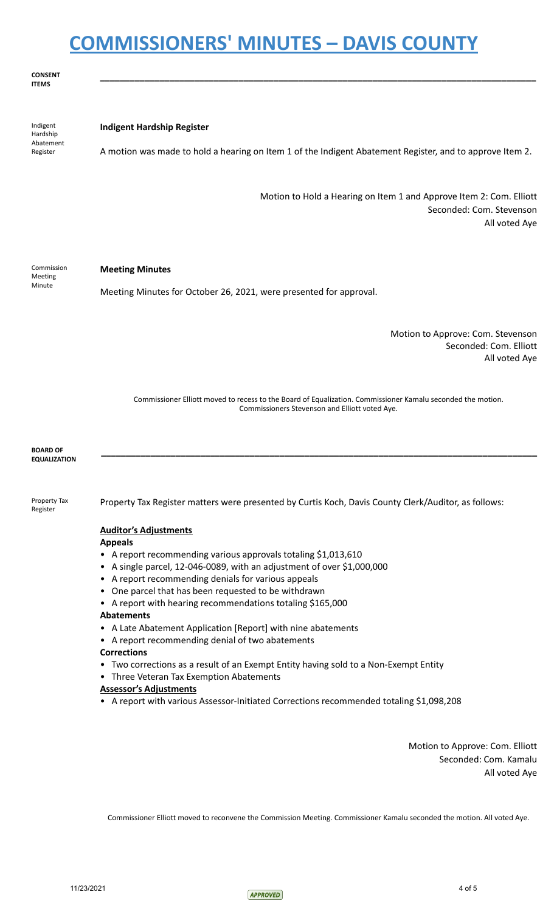**\_\_\_\_\_\_\_\_\_\_\_\_\_\_\_\_\_\_\_\_\_\_\_\_\_\_\_\_\_\_\_\_\_\_\_\_\_\_\_\_\_\_\_\_\_\_\_\_\_\_\_\_\_\_\_\_\_\_\_\_\_\_\_\_\_\_\_\_\_\_\_\_\_\_\_\_\_\_\_\_\_\_\_\_\_\_\_\_**

**CONSENT ITEMS**

Indigent Hardship Abatement Register **Indigent Hardship Register** A motion was made to hold a hearing on Item 1 of the Indigent Abatement Register, and to approve Item 2. Motion to Hold a Hearing on Item 1 and Approve Item 2: Com. Elliott Seconded: Com. Stevenson All voted Aye Commission Meeting Minute **Meeting Minutes** Meeting Minutes for October 26, 2021, were presented for approval. Motion to Approve: Com. Stevenson Seconded: Com. Elliott All voted Aye Commissioner Elliott moved to recess to the Board of Equalization. Commissioner Kamalu seconded the motion. Commissioners Stevenson and Elliott voted Aye. **BOARD OF EQUALIZATION \_\_\_\_\_\_\_\_\_\_\_\_\_\_\_\_\_\_\_\_\_\_\_\_\_\_\_\_\_\_\_\_\_\_\_\_\_\_\_\_\_\_\_\_\_\_\_\_\_\_\_\_\_\_\_\_\_\_\_\_\_\_\_\_\_\_\_\_\_\_\_\_\_\_\_\_\_\_\_\_\_\_\_\_\_\_\_\_** Property Tax Register Property Tax Register matters were presented by Curtis Koch, Davis County Clerk/Auditor, as follows: **Auditor's Adjustments Appeals** • A report recommending various approvals totaling \$1,013,610 • A single parcel, 12-046-0089, with an adjustment of over \$1,000,000 • A report recommending denials for various appeals • One parcel that has been requested to be withdrawn • A report with hearing recommendations totaling \$165,000 **Abatements** • A Late Abatement Application [Report] with nine abatements • A report recommending denial of two abatements **Corrections** • Two corrections as a result of an Exempt Entity having sold to a Non-Exempt Entity • Three Veteran Tax Exemption Abatements **Assessor's Adjustments** • A report with various Assessor-Initiated Corrections recommended totaling \$1,098,208

> Motion to Approve: Com. Elliott Seconded: Com. Kamalu All voted Aye

Commissioner Elliott moved to reconvene the Commission Meeting. Commissioner Kamalu seconded the motion. All voted Aye.